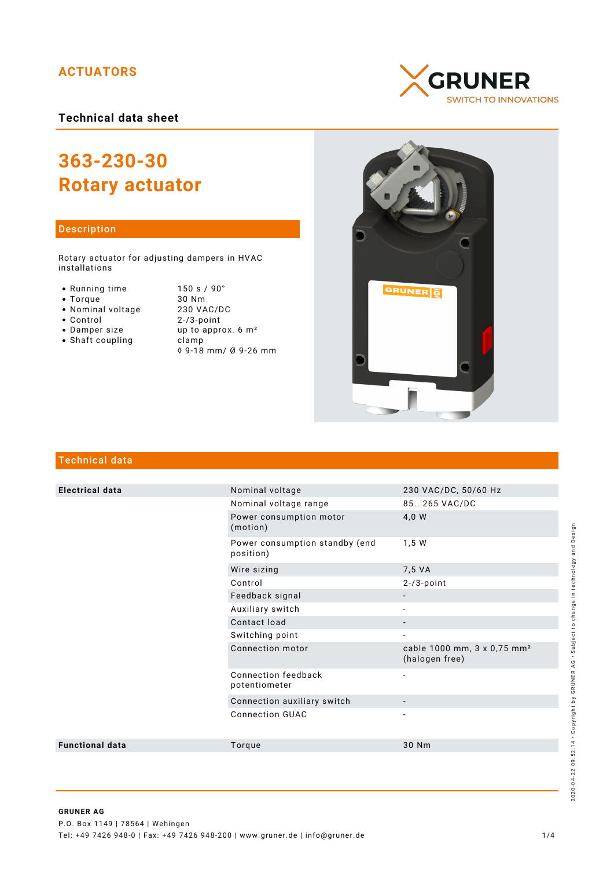# **ACTUATORS**

**Technical data sheet**

# **363-230-30 Rotary actuator**

## Description

Rotary actuator for adjusting dampers in HVAC installations

- Running time
- $\bullet$  Torque
- Nominal voltage
- Control
- Damper size
- $\bullet$  Shaft coupling

| 150 s / 90°                    |
|--------------------------------|
| 30 Nm                          |
| 230 VAC/DC                     |
| $2 - 73$ -point                |
| up to approx. 6 m <sup>2</sup> |
| clamp                          |
| ◊ 9-18 mm/ Ø 9-26 mm           |





# Technical data

| <b>Electrical data</b> | Nominal voltage                             | 230 VAC/DC, 50/60 Hz                                      |
|------------------------|---------------------------------------------|-----------------------------------------------------------|
|                        | Nominal voltage range                       | 85265 VAC/DC                                              |
|                        | Power consumption motor<br>(motion)         | 4,0 W                                                     |
|                        | Power consumption standby (end<br>position) | 1,5 W                                                     |
|                        | Wire sizing                                 | 7,5 VA                                                    |
|                        | Control                                     | $2 - 73$ -point                                           |
|                        | Feedback signal                             |                                                           |
|                        | Auxiliary switch                            |                                                           |
|                        | Contact load                                | $\overline{\phantom{0}}$                                  |
|                        | Switching point                             | $\overline{\phantom{a}}$                                  |
|                        | Connection motor                            | cable 1000 mm, 3 x 0,75 mm <sup>2</sup><br>(halogen free) |
|                        | Connection feedback<br>potentiometer        | $\overline{\phantom{a}}$                                  |
|                        | Connection auxiliary switch                 |                                                           |
|                        | <b>Connection GUAC</b>                      |                                                           |
| <b>Functional data</b> | Torque                                      | 30 Nm                                                     |
|                        |                                             |                                                           |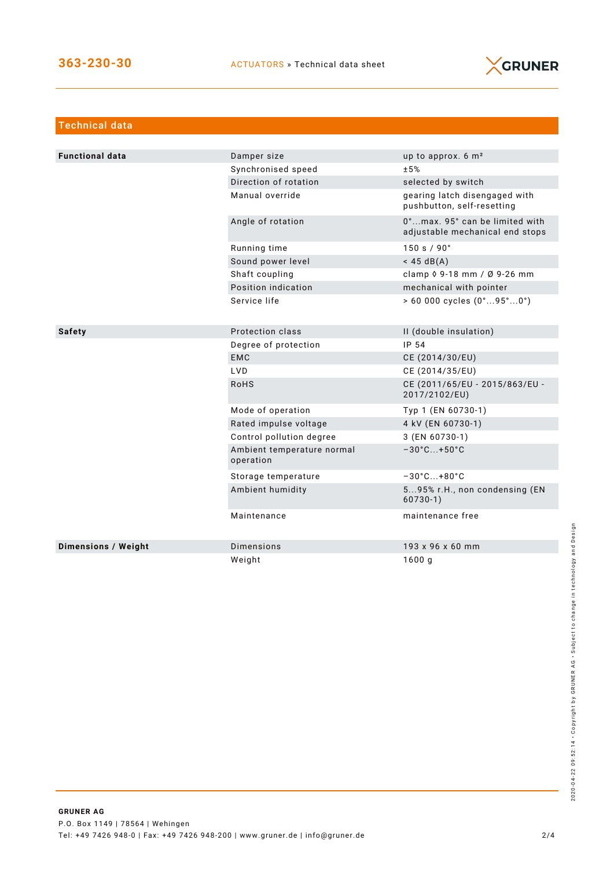

| <b>Technical data</b>      |                                         |                                                                   |
|----------------------------|-----------------------------------------|-------------------------------------------------------------------|
|                            |                                         |                                                                   |
| <b>Functional data</b>     | Damper size                             | up to approx. 6 m <sup>2</sup>                                    |
|                            | Synchronised speed                      | ±5%                                                               |
|                            | Direction of rotation                   | selected by switch                                                |
|                            | Manual override                         | gearing latch disengaged with<br>pushbutton, self-resetting       |
|                            | Angle of rotation                       | 0°max. 95° can be limited with<br>adjustable mechanical end stops |
|                            | Running time                            | 150 s / 90°                                                       |
|                            | Sound power level                       | $<$ 45 dB(A)                                                      |
|                            | Shaft coupling                          | clamp $\sqrt{9} - 18$ mm / $\sqrt{9} - 26$ mm                     |
|                            | Position indication                     | mechanical with pointer                                           |
|                            | Service life                            | $> 60000$ cycles $(0^{\circ}95^{\circ}0^{\circ})$                 |
|                            |                                         |                                                                   |
| <b>Safety</b>              | Protection class                        | II (double insulation)                                            |
|                            | Degree of protection                    | IP 54                                                             |
|                            | <b>EMC</b>                              | CE (2014/30/EU)                                                   |
|                            | <b>LVD</b>                              | CE (2014/35/EU)                                                   |
|                            | <b>RoHS</b>                             | CE (2011/65/EU - 2015/863/EU -<br>2017/2102/EU)                   |
|                            | Mode of operation                       | Typ 1 (EN 60730-1)                                                |
|                            | Rated impulse voltage                   | 4 kV (EN 60730-1)                                                 |
|                            | Control pollution degree                | 3 (EN 60730-1)                                                    |
|                            | Ambient temperature normal<br>operation | $-30^{\circ}$ C +50 $^{\circ}$ C                                  |
|                            | Storage temperature                     | $-30^{\circ}$ C +80 $^{\circ}$ C                                  |
|                            | Ambient humidity                        | 595% r.H., non condensing (EN<br>$60730-1)$                       |
|                            | Maintenance                             | maintenance free                                                  |
| <b>Dimensions / Weight</b> | <b>Dimensions</b>                       | 193 x 96 x 60 mm                                                  |
|                            | Weight                                  | 1600g                                                             |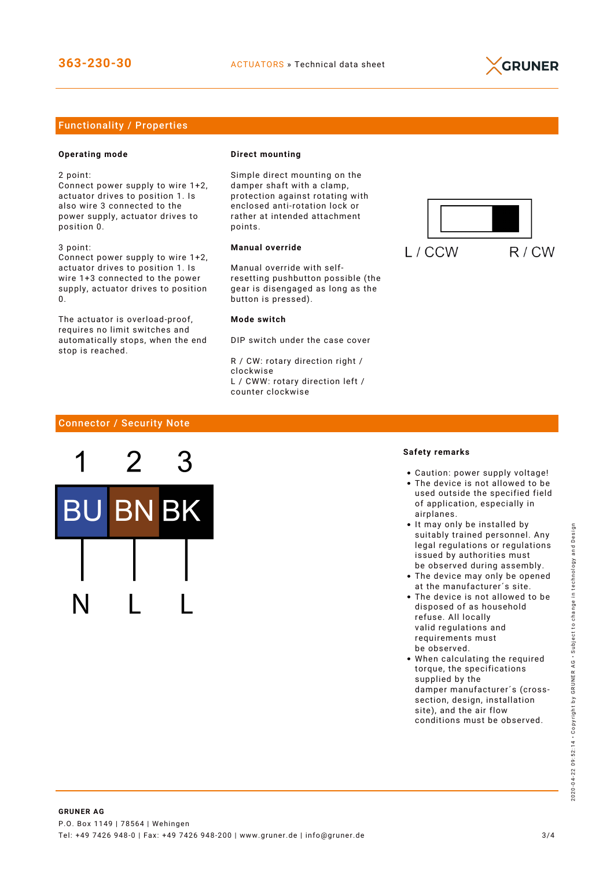

# Functionality / Properties

## **Operating mode**

2 point:

Connect power supply to wire 1+2, actuator drives to position 1. Is also wire 3 connected to the power supply, actuator drives to position 0.

3 point: Connect power supply to wire 1+2, actuator drives to position 1. Is wire 1+3 connected to the power supply, actuator drives to position  $\Omega$ 

The actuator is overload-proof, requires no limit switches and automatically stops, when the end stop is reached.

#### **Direct mounting**

Simple direct mounting on the damper shaft with a clamp, protection against rotating with enclosed anti-rotation lock or rather at intended attachment points.

## **Manual override**

Manual override with selfresetting pushbutton possible (the gear is disengaged as long as the button is pressed).

#### **Mode switch**

DIP switch under the case cover

R / CW: rotary direction right / clockwise L / CWW: rotary direction left / counter clockwise



# Connector / Security Note



#### **Safety remarks**

- Caution: power supply voltage!
- The device is not allowed to be used outside the specified field of application, especially in airplanes.
- It may only be installed by suitably trained personnel. Any legal regulations or regulations issued by authorities must be observed during assembly.
- The device may only be opened at the manufacturer´s site.
- The device is not allowed to be disposed of as household refuse. All locally valid regulations and requirements must be observed.
- When calculating the required torque, the specifications supplied by the damper manufacturer´s (crosssection, design, installation site), and the air flow conditions must be observed.